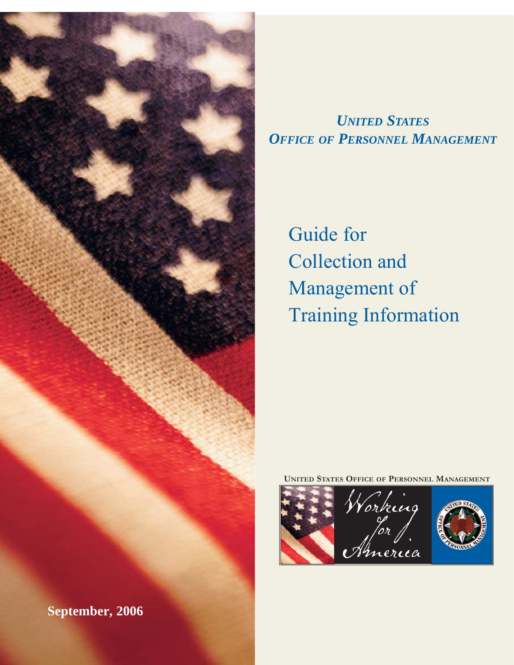

# *UNITED STATES OFFICE OF PERSONNEL MANAGEMENT*

Guide for Collection and Management of Training Information

**UNITED STATES OFFICE OF PERSONNEL MANAGEMENT**

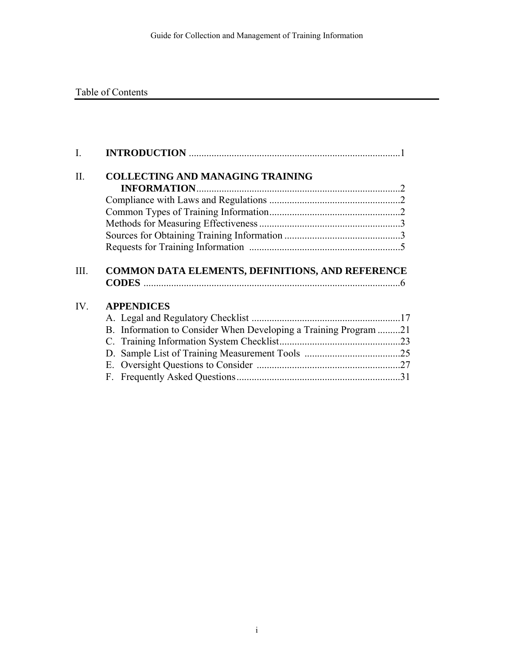# Table of Contents

| L   |                                                                  |  |
|-----|------------------------------------------------------------------|--|
| Π.  | <b>COLLECTING AND MANAGING TRAINING</b>                          |  |
|     | <b>INFORMATION</b>                                               |  |
|     |                                                                  |  |
|     |                                                                  |  |
|     |                                                                  |  |
|     |                                                                  |  |
|     |                                                                  |  |
|     |                                                                  |  |
|     |                                                                  |  |
| IV. |                                                                  |  |
|     | <b>APPENDICES</b>                                                |  |
|     |                                                                  |  |
|     | B. Information to Consider When Developing a Training Program 21 |  |
|     |                                                                  |  |
|     |                                                                  |  |
|     |                                                                  |  |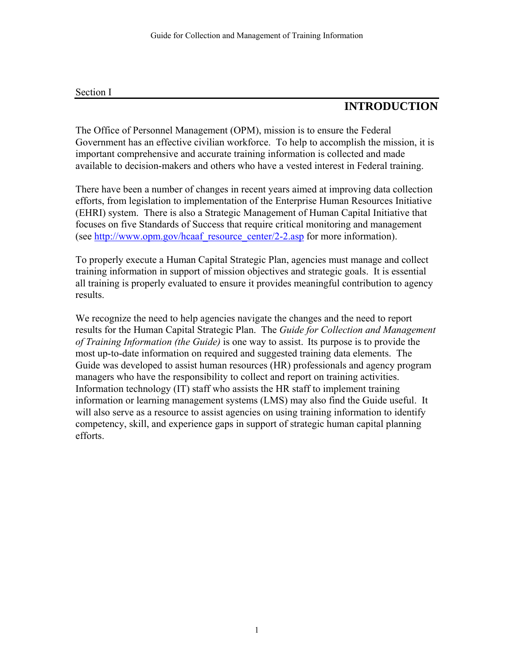#### Section I

# **INTRODUCTION**

The Office of Personnel Management (OPM), mission is to ensure the Federal Government has an effective civilian workforce. To help to accomplish the mission, it is important comprehensive and accurate training information is collected and made available to decision-makers and others who have a vested interest in Federal training.

There have been a number of changes in recent years aimed at improving data collection efforts, from legislation to implementation of the Enterprise Human Resources Initiative (EHRI) system. There is also a Strategic Management of Human Capital Initiative that focuses on five Standards of Success that require critical monitoring and management (see [http://www.opm.gov/hcaaf\\_resource\\_center/2-2.asp](http://www.opm.gov/hcaaf_resource_center/2-2.asp) for more information).

To properly execute a Human Capital Strategic Plan, agencies must manage and collect training information in support of mission objectives and strategic goals. It is essential all training is properly evaluated to ensure it provides meaningful contribution to agency results.

We recognize the need to help agencies navigate the changes and the need to report results for the Human Capital Strategic Plan. The *Guide for Collection and Management of Training Information (the Guide)* is one way to assist. Its purpose is to provide the most up-to-date information on required and suggested training data elements. The Guide was developed to assist human resources (HR) professionals and agency program managers who have the responsibility to collect and report on training activities. Information technology (IT) staff who assists the HR staff to implement training information or learning management systems (LMS) may also find the Guide useful. It will also serve as a resource to assist agencies on using training information to identify competency, skill, and experience gaps in support of strategic human capital planning efforts.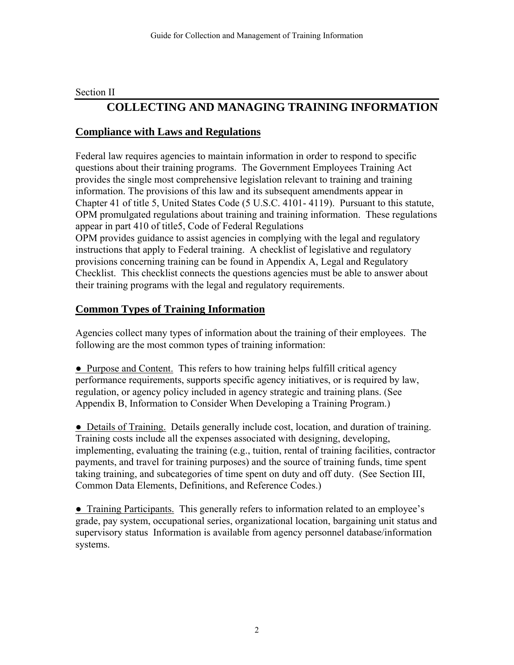#### Section II

# **COLLECTING AND MANAGING TRAINING INFORMATION**

## **Compliance with Laws and Regulations**

Federal law requires agencies to maintain information in order to respond to specific questions about their training programs. The Government Employees Training Act provides the single most comprehensive legislation relevant to training and training information. The provisions of this law and its subsequent amendments appear in Chapter 41 of title 5, United States Code (5 U.S.C. 4101- 4119). Pursuant to this statute, OPM promulgated regulations about training and training information. These regulations appear in part 410 of title5, Code of Federal Regulations

OPM provides guidance to assist agencies in complying with the legal and regulatory instructions that apply to Federal training. A checklist of legislative and regulatory provisions concerning training can be found in Appendix A, Legal and Regulatory Checklist. This checklist connects the questions agencies must be able to answer about their training programs with the legal and regulatory requirements.

## **Common Types of Training Information**

Agencies collect many types of information about the training of their employees. The following are the most common types of training information:

• Purpose and Content. This refers to how training helps fulfill critical agency performance requirements, supports specific agency initiatives, or is required by law, regulation, or agency policy included in agency strategic and training plans. (See Appendix B, Information to Consider When Developing a Training Program.)

• Details of Training. Details generally include cost, location, and duration of training. Training costs include all the expenses associated with designing, developing, implementing, evaluating the training (e.g., tuition, rental of training facilities, contractor payments, and travel for training purposes) and the source of training funds, time spent taking training, and subcategories of time spent on duty and off duty. (See Section III, Common Data Elements, Definitions, and Reference Codes.)

• Training Participants. This generally refers to information related to an employee's grade, pay system, occupational series, organizational location, bargaining unit status and supervisory status Information is available from agency personnel database/information systems.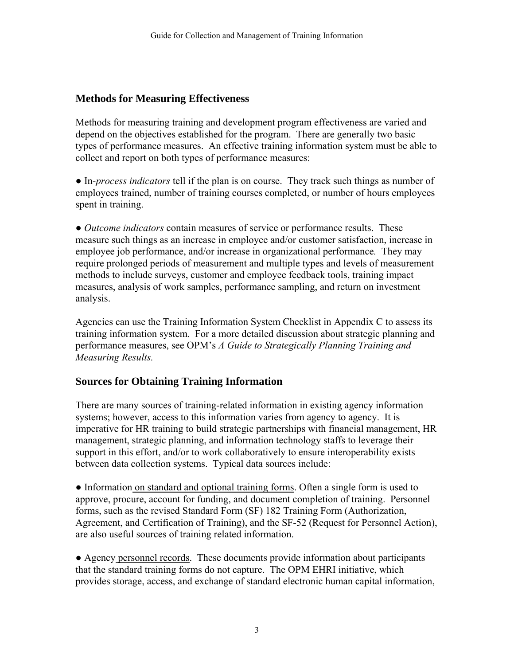## **Methods for Measuring Effectiveness**

Methods for measuring training and development program effectiveness are varied and depend on the objectives established for the program. There are generally two basic types of performance measures. An effective training information system must be able to collect and report on both types of performance measures:

● In*-process indicators* tell if the plan is on course. They track such things as number of employees trained, number of training courses completed, or number of hours employees spent in training.

*● Outcome indicators* contain measures of service or performance results. These measure such things as an increase in employee and/or customer satisfaction, increase in employee job performance, and/or increase in organizational performance*.* They may require prolonged periods of measurement and multiple types and levels of measurement methods to include surveys, customer and employee feedback tools, training impact measures, analysis of work samples, performance sampling, and return on investment analysis.

Agencies can use the Training Information System Checklist in Appendix C to assess its training information system. For a more detailed discussion about strategic planning and performance measures, see OPM's *A Guide to Strategically Planning Training and Measuring Results.*

## **Sources for Obtaining Training Information**

There are many sources of training-related information in existing agency information systems; however, access to this information varies from agency to agency. It is imperative for HR training to build strategic partnerships with financial management, HR management, strategic planning, and information technology staffs to leverage their support in this effort, and/or to work collaboratively to ensure interoperability exists between data collection systems. Typical data sources include:

● Information on standard and optional training forms. Often a single form is used to approve, procure, account for funding, and document completion of training. Personnel forms, such as the revised Standard Form (SF) 182 Training Form (Authorization, Agreement, and Certification of Training), and the SF-52 (Request for Personnel Action), are also useful sources of training related information.

● Agency personnel records. These documents provide information about participants that the standard training forms do not capture. The OPM EHRI initiative, which provides storage, access, and exchange of standard electronic human capital information,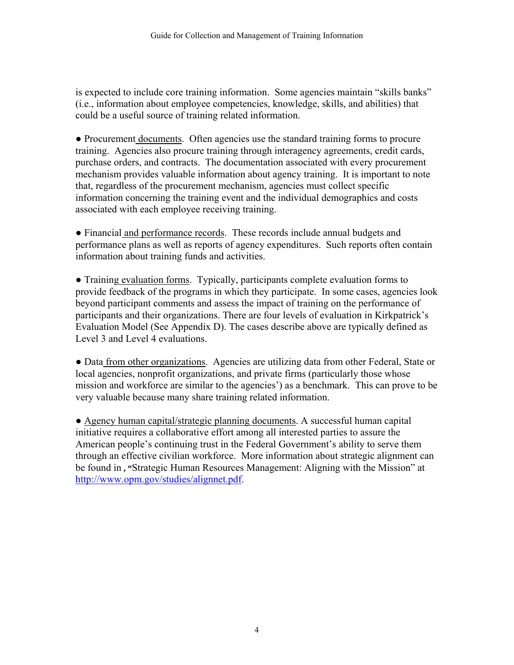is expected to include core training information. Some agencies maintain "skills banks" (i.e., information about employee competencies, knowledge, skills, and abilities) that could be a useful source of training related information.

● Procurement documents. Often agencies use the standard training forms to procure training. Agencies also procure training through interagency agreements, credit cards, purchase orders, and contracts. The documentation associated with every procurement mechanism provides valuable information about agency training. It is important to note that, regardless of the procurement mechanism, agencies must collect specific information concerning the training event and the individual demographics and costs associated with each employee receiving training.

• Financial and performance records. These records include annual budgets and performance plans as well as reports of agency expenditures. Such reports often contain information about training funds and activities.

• Training evaluation forms. Typically, participants complete evaluation forms to provide feedback of the programs in which they participate. In some cases, agencies look beyond participant comments and assess the impact of training on the performance of participants and their organizations. There are four levels of evaluation in Kirkpatrick's Evaluation Model (See Appendix D). The cases describe above are typically defined as Level 3 and Level 4 evaluations.

• Data from other organizations. Agencies are utilizing data from other Federal, State or local agencies, nonprofit organizations, and private firms (particularly those whose mission and workforce are similar to the agencies') as a benchmark. This can prove to be very valuable because many share training related information.

● Agency human capital/strategic planning documents. A successful human capital initiative requires a collaborative effort among all interested parties to assure the American people's continuing trust in the Federal Government's ability to serve them through an effective civilian workforce. More information about strategic alignment can be found in **, "**Strategic Human Resources Management: Aligning with the Mission" at [http://www.opm.gov/studies/alignnet.pdf.](http://www.opm.gov/studies/alignnet.pdf)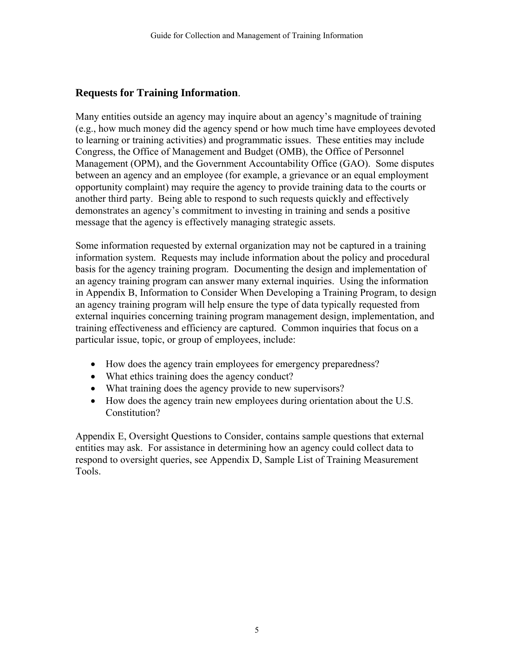## **Requests for Training Information**.

Many entities outside an agency may inquire about an agency's magnitude of training (e.g., how much money did the agency spend or how much time have employees devoted to learning or training activities) and programmatic issues. These entities may include Congress, the Office of Management and Budget (OMB), the Office of Personnel Management (OPM), and the Government Accountability Office (GAO). Some disputes between an agency and an employee (for example, a grievance or an equal employment opportunity complaint) may require the agency to provide training data to the courts or another third party. Being able to respond to such requests quickly and effectively demonstrates an agency's commitment to investing in training and sends a positive message that the agency is effectively managing strategic assets.

Some information requested by external organization may not be captured in a training information system. Requests may include information about the policy and procedural basis for the agency training program. Documenting the design and implementation of an agency training program can answer many external inquiries. Using the information in Appendix B, Information to Consider When Developing a Training Program, to design an agency training program will help ensure the type of data typically requested from external inquiries concerning training program management design, implementation, and training effectiveness and efficiency are captured. Common inquiries that focus on a particular issue, topic, or group of employees, include:

- How does the agency train employees for emergency preparedness?
- What ethics training does the agency conduct?
- What training does the agency provide to new supervisors?
- How does the agency train new employees during orientation about the U.S. Constitution?

Appendix E, Oversight Questions to Consider, contains sample questions that external entities may ask. For assistance in determining how an agency could collect data to respond to oversight queries, see Appendix D, Sample List of Training Measurement Tools.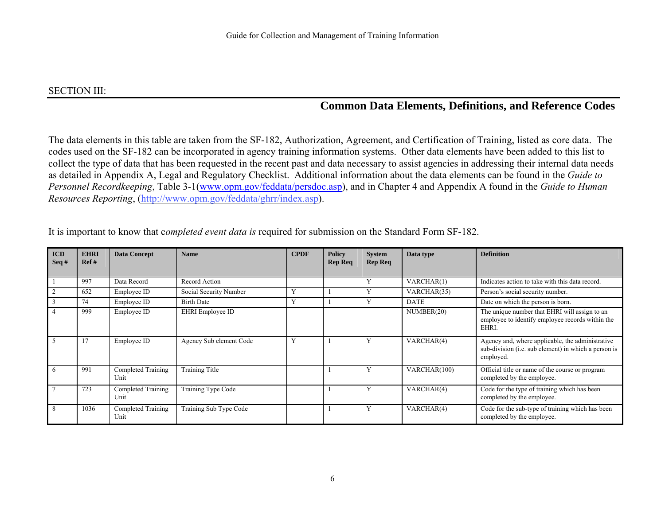#### SECTION III:

# **Common Data Elements, Definitions, and Reference Codes**

The data elements in this table are taken from the SF-182, Authorization, Agreement, and Certification of Training, listed as core data. The codes used on the SF-182 can be incorporated in agency training information systems. Other data elements have been added to this list to collect the type of data that has been requested in the recent past and data necessary to assist agencies in addressing their internal data needs as detailed in Appendix A, Legal and Regulatory Checklist. Additional information about the data elements can be found in the *Guide to Personnel Recordkeeping*, Table 3-1([www.opm.gov/feddata/persdoc.asp](http://www.opm.gov/feddata/persdoc.asp)), and in Chapter 4 and Appendix A found in the *Guide to Human Resources Reporting*, (http://www.opm.gov/feddata/ghrr/index.asp).

| <b>ICD</b><br>$\text{Seq }#$ | <b>EHRI</b><br>Ref# | <b>Data Concept</b>        | <b>Name</b>             | <b>CPDF</b>  | <b>Policy</b><br><b>Rep Req</b> | <b>System</b><br><b>Rep Req</b> | Data type    | <b>Definition</b>                                                                                                     |
|------------------------------|---------------------|----------------------------|-------------------------|--------------|---------------------------------|---------------------------------|--------------|-----------------------------------------------------------------------------------------------------------------------|
|                              | 997                 | Data Record                | Record Action           |              |                                 | Y                               | VARCHAR(1)   | Indicates action to take with this data record.                                                                       |
| 2                            | 652                 | Employee ID                | Social Security Number  | Y            |                                 |                                 | VARCHAR(35)  | Person's social security number.                                                                                      |
| $\overline{\mathbf{3}}$      | 74                  | Employee ID                | <b>Birth Date</b>       | $\mathbf{v}$ |                                 | Y                               | <b>DATE</b>  | Date on which the person is born.                                                                                     |
| $\overline{4}$               | 999                 | Employee ID                | EHRI Employee ID        |              |                                 |                                 | NUMBER(20)   | The unique number that EHRI will assign to an<br>employee to identify employee records within the<br>EHRI.            |
| -5                           | 17                  | Employee ID                | Agency Sub element Code | Y            |                                 | Y                               | VARCHAR(4)   | Agency and, where applicable, the administrative<br>sub-division (i.e. sub element) in which a person is<br>employed. |
| 6                            | 991                 | Completed Training<br>Unit | <b>Training Title</b>   |              |                                 | Y                               | VARCHAR(100) | Official title or name of the course or program<br>completed by the employee.                                         |
| $7\phantom{.0}$              | 723                 | Completed Training<br>Unit | Training Type Code      |              |                                 | Y                               | VARCHAR(4)   | Code for the type of training which has been<br>completed by the employee.                                            |
| -8                           | 1036                | Completed Training<br>Unit | Training Sub Type Code  |              |                                 | Y                               | VARCHAR(4)   | Code for the sub-type of training which has been<br>completed by the employee.                                        |

It is important to know that c*ompleted event data is* required for submission on the Standard Form SF-182.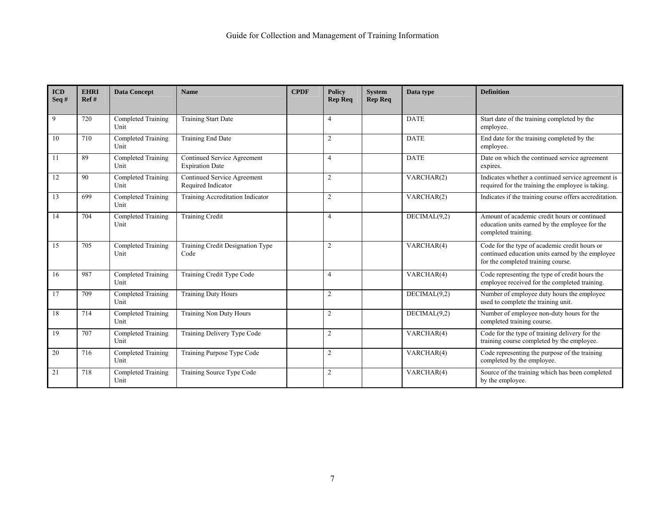| <b>ICD</b><br>Seq# | <b>EHRI</b><br>Ref# | <b>Data Concept</b>        | <b>Name</b>                                           | <b>CPDF</b> | <b>Policy</b><br><b>Rep Req</b> | <b>System</b><br><b>Rep Req</b> | Data type                        | <b>Definition</b>                                                                                                                       |
|--------------------|---------------------|----------------------------|-------------------------------------------------------|-------------|---------------------------------|---------------------------------|----------------------------------|-----------------------------------------------------------------------------------------------------------------------------------------|
| 9                  | 720                 | Completed Training<br>Unit | <b>Training Start Date</b>                            |             | $\overline{4}$                  |                                 | <b>DATE</b>                      | Start date of the training completed by the<br>employee.                                                                                |
| 10                 | 710                 | Completed Training<br>Unit | Training End Date                                     |             | $\overline{2}$                  |                                 | <b>DATE</b>                      | End date for the training completed by the<br>employee.                                                                                 |
| 11                 | 89                  | Completed Training<br>Unit | Continued Service Agreement<br><b>Expiration Date</b> |             | $\overline{4}$                  |                                 | <b>DATE</b>                      | Date on which the continued service agreement<br>expires.                                                                               |
| 12                 | 90                  | Completed Training<br>Unit | Continued Service Agreement<br>Required Indicator     |             | $\overline{c}$                  |                                 | VARCHAR(2)                       | Indicates whether a continued service agreement is<br>required for the training the employee is taking.                                 |
| 13                 | 699                 | Completed Training<br>Unit | Training Accreditation Indicator                      |             | $\overline{2}$                  |                                 | VARCHAR(2)                       | Indicates if the training course offers accreditation.                                                                                  |
| 14                 | 704                 | Completed Training<br>Unit | <b>Training Credit</b>                                |             | $\overline{4}$                  |                                 | DECIMAL(9,2)                     | Amount of academic credit hours or continued<br>education units earned by the employee for the<br>completed training.                   |
| 15                 | 705                 | Completed Training<br>Unit | Training Credit Designation Type<br>Code              |             | 2                               |                                 | VARCHAR(4)                       | Code for the type of academic credit hours or<br>continued education units earned by the employee<br>for the completed training course. |
| 16                 | 987                 | Completed Training<br>Unit | Training Credit Type Code                             |             | $\overline{4}$                  |                                 | VARCHAR(4)                       | Code representing the type of credit hours the<br>employee received for the completed training.                                         |
| 17                 | 709                 | Completed Training<br>Unit | <b>Training Duty Hours</b>                            |             | $\overline{c}$                  |                                 | DECIMAL(9,2)                     | Number of employee duty hours the employee<br>used to complete the training unit.                                                       |
| 18                 | 714                 | Completed Training<br>Unit | <b>Training Non Duty Hours</b>                        |             | 2                               |                                 | $\overline{\text{DECIMAL}(9,2)}$ | Number of employee non-duty hours for the<br>completed training course.                                                                 |
| 19                 | 707                 | Completed Training<br>Unit | Training Delivery Type Code                           |             | 2                               |                                 | VARCHAR(4)                       | Code for the type of training delivery for the<br>training course completed by the employee.                                            |
| 20                 | 716                 | Completed Training<br>Unit | Training Purpose Type Code                            |             | $\overline{c}$                  |                                 | VARCHAR(4)                       | Code representing the purpose of the training<br>completed by the employee.                                                             |
| 21                 | 718                 | Completed Training<br>Unit | Training Source Type Code                             |             | 2                               |                                 | VARCHAR(4)                       | Source of the training which has been completed<br>by the employee.                                                                     |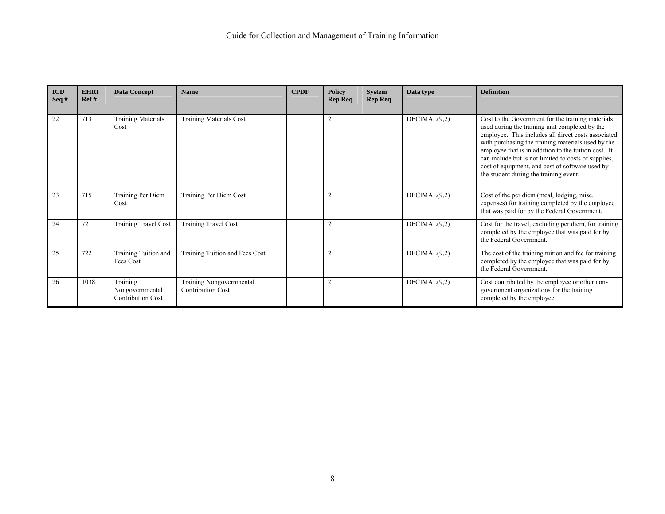| <b>ICD</b><br>Seq# | <b>EHRI</b><br>Ref# | <b>Data Concept</b>                                     | <b>Name</b>                                          | <b>CPDF</b> | <b>Policy</b><br><b>Rep Req</b> | <b>System</b><br><b>Rep Req</b> | Data type    | <b>Definition</b>                                                                                                                                                                                                                                                                                                                                                                                                             |
|--------------------|---------------------|---------------------------------------------------------|------------------------------------------------------|-------------|---------------------------------|---------------------------------|--------------|-------------------------------------------------------------------------------------------------------------------------------------------------------------------------------------------------------------------------------------------------------------------------------------------------------------------------------------------------------------------------------------------------------------------------------|
| 22                 | 713                 | <b>Training Materials</b><br>Cost                       | <b>Training Materials Cost</b>                       |             | $\overline{2}$                  |                                 | DECIMAL(9,2) | Cost to the Government for the training materials<br>used during the training unit completed by the<br>employee. This includes all direct costs associated<br>with purchasing the training materials used by the<br>employee that is in addition to the tuition cost. It<br>can include but is not limited to costs of supplies,<br>cost of equipment, and cost of software used by<br>the student during the training event. |
| 23                 | 715                 | Training Per Diem<br>Cost                               | Training Per Diem Cost                               |             | $\overline{2}$                  |                                 | DECIMAL(9,2) | Cost of the per diem (meal, lodging, misc.<br>expenses) for training completed by the employee<br>that was paid for by the Federal Government.                                                                                                                                                                                                                                                                                |
| 24                 | 721                 | Training Travel Cost                                    | <b>Training Travel Cost</b>                          |             | $\overline{2}$                  |                                 | DECIMAL(9,2) | Cost for the travel, excluding per diem, for training<br>completed by the employee that was paid for by<br>the Federal Government.                                                                                                                                                                                                                                                                                            |
| 25                 | 722                 | Training Tuition and<br>Fees Cost                       | Training Tuition and Fees Cost                       |             | $\overline{c}$                  |                                 | DECIMAL(9,2) | The cost of the training tuition and fee for training<br>completed by the employee that was paid for by<br>the Federal Government.                                                                                                                                                                                                                                                                                            |
| 26                 | 1038                | Training<br>Nongovernmental<br><b>Contribution Cost</b> | Training Nongovernmental<br><b>Contribution Cost</b> |             | $\overline{2}$                  |                                 | DECIMAL(9,2) | Cost contributed by the employee or other non-<br>government organizations for the training<br>completed by the employee.                                                                                                                                                                                                                                                                                                     |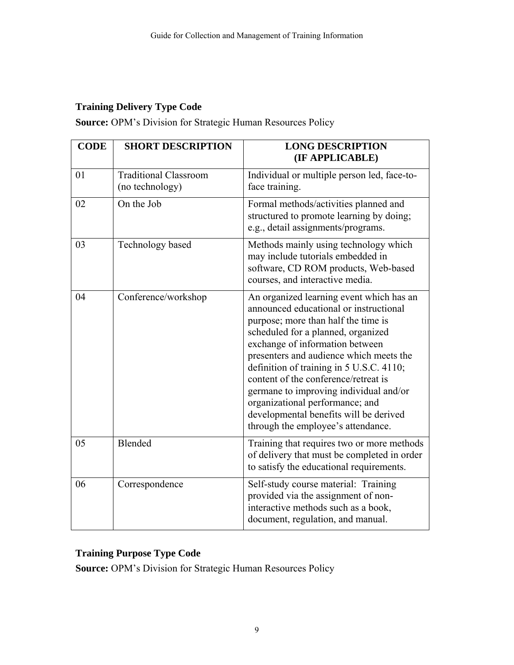# **Training Delivery Type Code**

**Source:** OPM's Division for Strategic Human Resources Policy

| <b>CODE</b> | <b>SHORT DESCRIPTION</b>                        | <b>LONG DESCRIPTION</b><br>(IF APPLICABLE)                                                                                                                                                                                                                                                                                                                                                                                                                                                     |
|-------------|-------------------------------------------------|------------------------------------------------------------------------------------------------------------------------------------------------------------------------------------------------------------------------------------------------------------------------------------------------------------------------------------------------------------------------------------------------------------------------------------------------------------------------------------------------|
| 01          | <b>Traditional Classroom</b><br>(no technology) | Individual or multiple person led, face-to-<br>face training.                                                                                                                                                                                                                                                                                                                                                                                                                                  |
| 02          | On the Job                                      | Formal methods/activities planned and<br>structured to promote learning by doing;<br>e.g., detail assignments/programs.                                                                                                                                                                                                                                                                                                                                                                        |
| 03          | Technology based                                | Methods mainly using technology which<br>may include tutorials embedded in<br>software, CD ROM products, Web-based<br>courses, and interactive media.                                                                                                                                                                                                                                                                                                                                          |
| 04          | Conference/workshop                             | An organized learning event which has an<br>announced educational or instructional<br>purpose; more than half the time is<br>scheduled for a planned, organized<br>exchange of information between<br>presenters and audience which meets the<br>definition of training in 5 U.S.C. 4110;<br>content of the conference/retreat is<br>germane to improving individual and/or<br>organizational performance; and<br>developmental benefits will be derived<br>through the employee's attendance. |
| 05          | Blended                                         | Training that requires two or more methods<br>of delivery that must be completed in order<br>to satisfy the educational requirements.                                                                                                                                                                                                                                                                                                                                                          |
| 06          | Correspondence                                  | Self-study course material: Training<br>provided via the assignment of non-<br>interactive methods such as a book,<br>document, regulation, and manual.                                                                                                                                                                                                                                                                                                                                        |

## **Training Purpose Type Code**

**Source:** OPM's Division for Strategic Human Resources Policy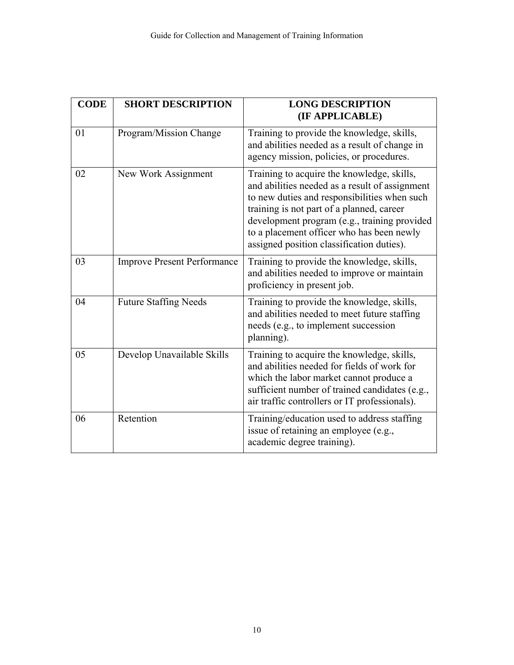| <b>CODE</b> | <b>SHORT DESCRIPTION</b>           | <b>LONG DESCRIPTION</b><br>(IF APPLICABLE)                                                                                                                                                                                                                                                                                          |
|-------------|------------------------------------|-------------------------------------------------------------------------------------------------------------------------------------------------------------------------------------------------------------------------------------------------------------------------------------------------------------------------------------|
| 01          | Program/Mission Change             | Training to provide the knowledge, skills,<br>and abilities needed as a result of change in<br>agency mission, policies, or procedures.                                                                                                                                                                                             |
| 02          | New Work Assignment                | Training to acquire the knowledge, skills,<br>and abilities needed as a result of assignment<br>to new duties and responsibilities when such<br>training is not part of a planned, career<br>development program (e.g., training provided<br>to a placement officer who has been newly<br>assigned position classification duties). |
| 03          | <b>Improve Present Performance</b> | Training to provide the knowledge, skills,<br>and abilities needed to improve or maintain<br>proficiency in present job.                                                                                                                                                                                                            |
| 04          | <b>Future Staffing Needs</b>       | Training to provide the knowledge, skills,<br>and abilities needed to meet future staffing<br>needs (e.g., to implement succession<br>planning).                                                                                                                                                                                    |
| 05          | Develop Unavailable Skills         | Training to acquire the knowledge, skills,<br>and abilities needed for fields of work for<br>which the labor market cannot produce a<br>sufficient number of trained candidates (e.g.,<br>air traffic controllers or IT professionals).                                                                                             |
| 06          | Retention                          | Training/education used to address staffing<br>issue of retaining an employee (e.g.,<br>academic degree training).                                                                                                                                                                                                                  |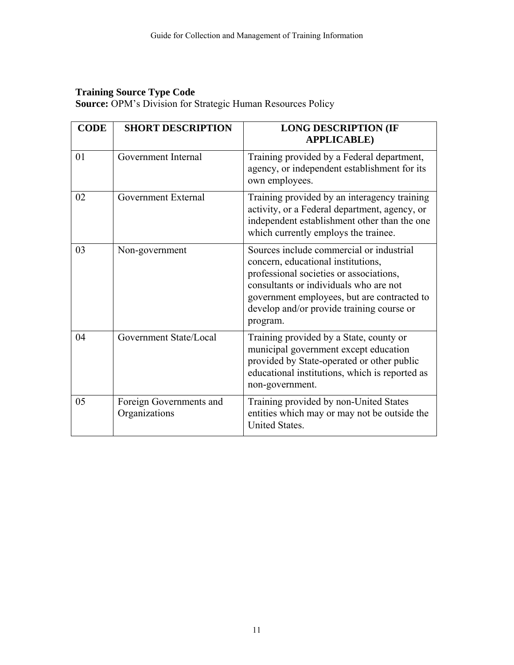## **Training Source Type Code**

**Source:** OPM's Division for Strategic Human Resources Policy

| <b>CODE</b>    | <b>SHORT DESCRIPTION</b>                 | <b>LONG DESCRIPTION (IF</b><br><b>APPLICABLE</b> )                                                                                                                                                                                                                          |
|----------------|------------------------------------------|-----------------------------------------------------------------------------------------------------------------------------------------------------------------------------------------------------------------------------------------------------------------------------|
| 0 <sub>1</sub> | Government Internal                      | Training provided by a Federal department,<br>agency, or independent establishment for its<br>own employees.                                                                                                                                                                |
| 02             | Government External                      | Training provided by an interagency training<br>activity, or a Federal department, agency, or<br>independent establishment other than the one<br>which currently employs the trainee.                                                                                       |
| 03             | Non-government                           | Sources include commercial or industrial<br>concern, educational institutions,<br>professional societies or associations,<br>consultants or individuals who are not<br>government employees, but are contracted to<br>develop and/or provide training course or<br>program. |
| 04             | Government State/Local                   | Training provided by a State, county or<br>municipal government except education<br>provided by State-operated or other public<br>educational institutions, which is reported as<br>non-government.                                                                         |
| 05             | Foreign Governments and<br>Organizations | Training provided by non-United States<br>entities which may or may not be outside the<br>United States.                                                                                                                                                                    |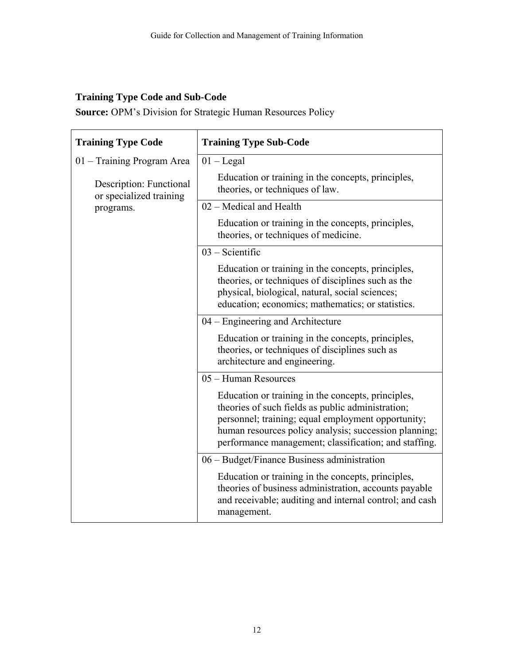# **Training Type Code and Sub-Code**

**Source:** OPM's Division for Strategic Human Resources Policy

| <b>Training Type Code</b>                          | <b>Training Type Sub-Code</b>                                                                                                                                                                                                                                                   |
|----------------------------------------------------|---------------------------------------------------------------------------------------------------------------------------------------------------------------------------------------------------------------------------------------------------------------------------------|
| 01 – Training Program Area                         | $01 -$ Legal                                                                                                                                                                                                                                                                    |
| Description: Functional<br>or specialized training | Education or training in the concepts, principles,<br>theories, or techniques of law.                                                                                                                                                                                           |
| programs.                                          | 02 – Medical and Health                                                                                                                                                                                                                                                         |
|                                                    | Education or training in the concepts, principles,<br>theories, or techniques of medicine.                                                                                                                                                                                      |
|                                                    | $03 -$ Scientific                                                                                                                                                                                                                                                               |
|                                                    | Education or training in the concepts, principles,<br>theories, or techniques of disciplines such as the<br>physical, biological, natural, social sciences;<br>education; economics; mathematics; or statistics.                                                                |
|                                                    | 04 – Engineering and Architecture                                                                                                                                                                                                                                               |
|                                                    | Education or training in the concepts, principles,<br>theories, or techniques of disciplines such as<br>architecture and engineering.                                                                                                                                           |
|                                                    | 05 – Human Resources                                                                                                                                                                                                                                                            |
|                                                    | Education or training in the concepts, principles,<br>theories of such fields as public administration;<br>personnel; training; equal employment opportunity;<br>human resources policy analysis; succession planning;<br>performance management; classification; and staffing. |
|                                                    | 06 – Budget/Finance Business administration                                                                                                                                                                                                                                     |
|                                                    | Education or training in the concepts, principles,<br>theories of business administration, accounts payable<br>and receivable; auditing and internal control; and cash<br>management.                                                                                           |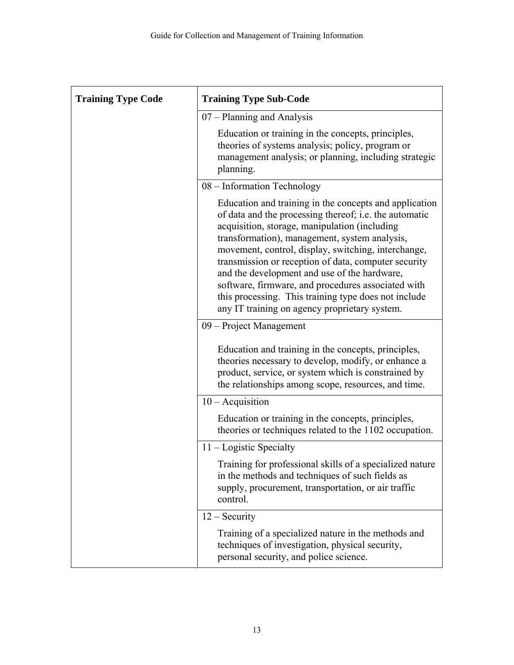| <b>Training Type Code</b> | <b>Training Type Sub-Code</b>                                                                                                                                                                                                                                                                                                                                                                                                                                                                                                                    |
|---------------------------|--------------------------------------------------------------------------------------------------------------------------------------------------------------------------------------------------------------------------------------------------------------------------------------------------------------------------------------------------------------------------------------------------------------------------------------------------------------------------------------------------------------------------------------------------|
|                           | 07 – Planning and Analysis                                                                                                                                                                                                                                                                                                                                                                                                                                                                                                                       |
|                           | Education or training in the concepts, principles,<br>theories of systems analysis; policy, program or<br>management analysis; or planning, including strategic<br>planning.                                                                                                                                                                                                                                                                                                                                                                     |
|                           | 08 - Information Technology                                                                                                                                                                                                                                                                                                                                                                                                                                                                                                                      |
|                           | Education and training in the concepts and application<br>of data and the processing thereof; i.e. the automatic<br>acquisition, storage, manipulation (including<br>transformation), management, system analysis,<br>movement, control, display, switching, interchange,<br>transmission or reception of data, computer security<br>and the development and use of the hardware,<br>software, firmware, and procedures associated with<br>this processing. This training type does not include<br>any IT training on agency proprietary system. |
|                           | 09 – Project Management                                                                                                                                                                                                                                                                                                                                                                                                                                                                                                                          |
|                           | Education and training in the concepts, principles,<br>theories necessary to develop, modify, or enhance a<br>product, service, or system which is constrained by<br>the relationships among scope, resources, and time.                                                                                                                                                                                                                                                                                                                         |
|                           | $10 - \text{Acquistion}$                                                                                                                                                                                                                                                                                                                                                                                                                                                                                                                         |
|                           | Education or training in the concepts, principles,<br>theories or techniques related to the 1102 occupation.                                                                                                                                                                                                                                                                                                                                                                                                                                     |
|                           | $11 -$ Logistic Specialty                                                                                                                                                                                                                                                                                                                                                                                                                                                                                                                        |
|                           | Training for professional skills of a specialized nature<br>in the methods and techniques of such fields as<br>supply, procurement, transportation, or air traffic<br>control.                                                                                                                                                                                                                                                                                                                                                                   |
|                           | $12 -$ Security                                                                                                                                                                                                                                                                                                                                                                                                                                                                                                                                  |
|                           | Training of a specialized nature in the methods and<br>techniques of investigation, physical security,<br>personal security, and police science.                                                                                                                                                                                                                                                                                                                                                                                                 |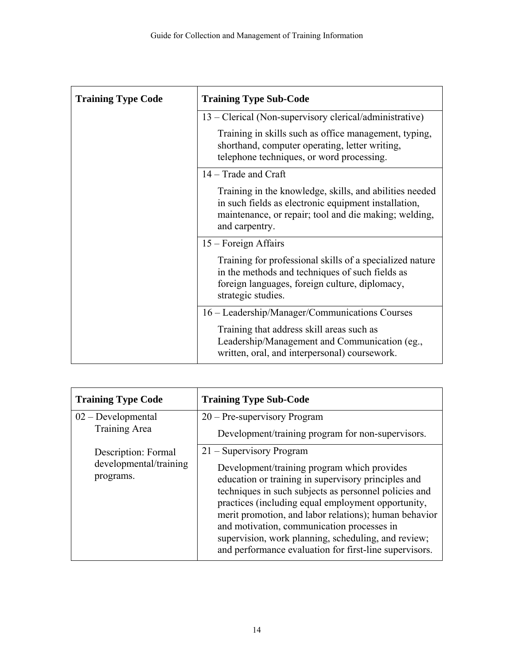| <b>Training Type Code</b> | <b>Training Type Sub-Code</b>                                                                                                                                                              |
|---------------------------|--------------------------------------------------------------------------------------------------------------------------------------------------------------------------------------------|
|                           | 13 - Clerical (Non-supervisory clerical/administrative)                                                                                                                                    |
|                           | Training in skills such as office management, typing,<br>shorthand, computer operating, letter writing,<br>telephone techniques, or word processing.                                       |
|                           | $14 - Trade$ and Craft                                                                                                                                                                     |
|                           | Training in the knowledge, skills, and abilities needed<br>in such fields as electronic equipment installation,<br>maintenance, or repair; tool and die making; welding,<br>and carpentry. |
|                           | $15$ – Foreign Affairs                                                                                                                                                                     |
|                           | Training for professional skills of a specialized nature<br>in the methods and techniques of such fields as<br>foreign languages, foreign culture, diplomacy,<br>strategic studies.        |
|                           | 16 - Leadership/Manager/Communications Courses                                                                                                                                             |
|                           | Training that address skill areas such as<br>Leadership/Management and Communication (eg.,<br>written, oral, and interpersonal) coursework.                                                |

| <b>Training Type Code</b>             | <b>Training Type Sub-Code</b>                                                                                                                                                                                                                                                                                                                                                                                                             |
|---------------------------------------|-------------------------------------------------------------------------------------------------------------------------------------------------------------------------------------------------------------------------------------------------------------------------------------------------------------------------------------------------------------------------------------------------------------------------------------------|
| $02 - Developmental$<br>Training Area | 20 – Pre-supervisory Program                                                                                                                                                                                                                                                                                                                                                                                                              |
| Description: Formal                   | Development/training program for non-supervisors.<br>21 – Supervisory Program                                                                                                                                                                                                                                                                                                                                                             |
| developmental/training<br>programs.   | Development/training program which provides<br>education or training in supervisory principles and<br>techniques in such subjects as personnel policies and<br>practices (including equal employment opportunity,<br>merit promotion, and labor relations); human behavior<br>and motivation, communication processes in<br>supervision, work planning, scheduling, and review;<br>and performance evaluation for first-line supervisors. |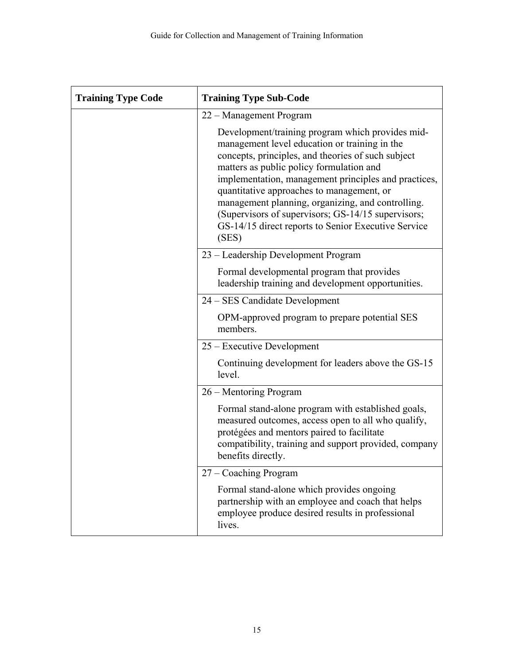| <b>Training Type Code</b> | <b>Training Type Sub-Code</b>                                                                                                                                                                                                                                                                                                                                                                                                                                                       |
|---------------------------|-------------------------------------------------------------------------------------------------------------------------------------------------------------------------------------------------------------------------------------------------------------------------------------------------------------------------------------------------------------------------------------------------------------------------------------------------------------------------------------|
|                           | 22 – Management Program                                                                                                                                                                                                                                                                                                                                                                                                                                                             |
|                           | Development/training program which provides mid-<br>management level education or training in the<br>concepts, principles, and theories of such subject<br>matters as public policy formulation and<br>implementation, management principles and practices,<br>quantitative approaches to management, or<br>management planning, organizing, and controlling.<br>(Supervisors of supervisors; GS-14/15 supervisors;<br>GS-14/15 direct reports to Senior Executive Service<br>(SES) |
|                           | 23 - Leadership Development Program                                                                                                                                                                                                                                                                                                                                                                                                                                                 |
|                           | Formal developmental program that provides<br>leadership training and development opportunities.                                                                                                                                                                                                                                                                                                                                                                                    |
|                           | 24 - SES Candidate Development                                                                                                                                                                                                                                                                                                                                                                                                                                                      |
|                           | OPM-approved program to prepare potential SES<br>members.                                                                                                                                                                                                                                                                                                                                                                                                                           |
|                           | 25 – Executive Development                                                                                                                                                                                                                                                                                                                                                                                                                                                          |
|                           | Continuing development for leaders above the GS-15<br>level.                                                                                                                                                                                                                                                                                                                                                                                                                        |
|                           | 26 – Mentoring Program                                                                                                                                                                                                                                                                                                                                                                                                                                                              |
|                           | Formal stand-alone program with established goals,<br>measured outcomes, access open to all who qualify,<br>protégées and mentors paired to facilitate<br>compatibility, training and support provided, company<br>benefits directly.                                                                                                                                                                                                                                               |
|                           | 27 – Coaching Program                                                                                                                                                                                                                                                                                                                                                                                                                                                               |
|                           | Formal stand-alone which provides ongoing<br>partnership with an employee and coach that helps<br>employee produce desired results in professional<br>lives.                                                                                                                                                                                                                                                                                                                        |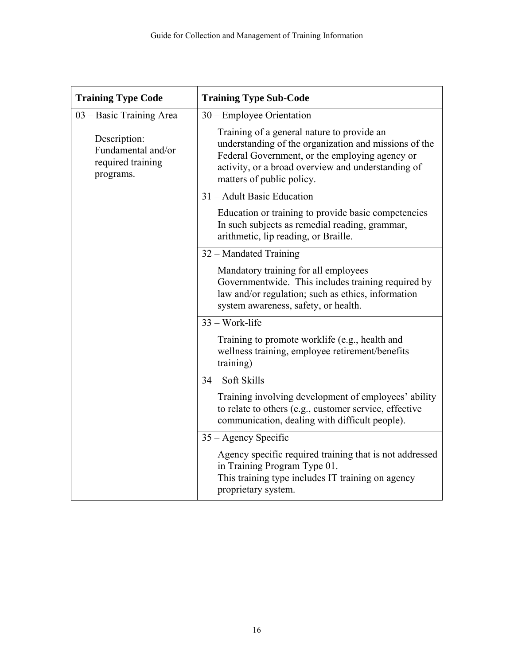| <b>Training Type Code</b>                                            | <b>Training Type Sub-Code</b>                                                                                                                                                                                                            |  |
|----------------------------------------------------------------------|------------------------------------------------------------------------------------------------------------------------------------------------------------------------------------------------------------------------------------------|--|
| 03 – Basic Training Area                                             | $30$ – Employee Orientation                                                                                                                                                                                                              |  |
| Description:<br>Fundamental and/or<br>required training<br>programs. | Training of a general nature to provide an<br>understanding of the organization and missions of the<br>Federal Government, or the employing agency or<br>activity, or a broad overview and understanding of<br>matters of public policy. |  |
|                                                                      | 31 – Adult Basic Education                                                                                                                                                                                                               |  |
|                                                                      | Education or training to provide basic competencies<br>In such subjects as remedial reading, grammar,<br>arithmetic, lip reading, or Braille.                                                                                            |  |
|                                                                      | 32 – Mandated Training                                                                                                                                                                                                                   |  |
|                                                                      | Mandatory training for all employees<br>Governmentwide. This includes training required by<br>law and/or regulation; such as ethics, information<br>system awareness, safety, or health.                                                 |  |
|                                                                      | $33 - Work-life$                                                                                                                                                                                                                         |  |
|                                                                      | Training to promote worklife (e.g., health and<br>wellness training, employee retirement/benefits<br>training)                                                                                                                           |  |
|                                                                      | 34 – Soft Skills                                                                                                                                                                                                                         |  |
|                                                                      | Training involving development of employees' ability<br>to relate to others (e.g., customer service, effective<br>communication, dealing with difficult people).                                                                         |  |
|                                                                      | $35 -$ Agency Specific                                                                                                                                                                                                                   |  |
|                                                                      | Agency specific required training that is not addressed<br>in Training Program Type 01.<br>This training type includes IT training on agency<br>proprietary system.                                                                      |  |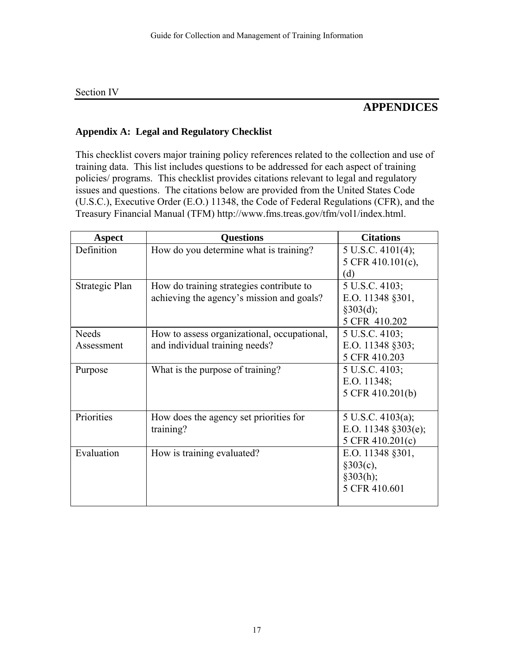#### Section IV

# **APPENDICES**

## **Appendix A: Legal and Regulatory Checklist**

This checklist covers major training policy references related to the collection and use of training data. This list includes questions to be addressed for each aspect of training policies/ programs. This checklist provides citations relevant to legal and regulatory issues and questions. The citations below are provided from the United States Code (U.S.C.), Executive Order (E.O.) 11348, the Code of Federal Regulations (CFR), and the Treasury Financial Manual (TFM) http://www.fms.treas.gov/tfm/vol1/index.html.

| <b>Aspect</b>  | <b>Questions</b>                            | <b>Citations</b>             |
|----------------|---------------------------------------------|------------------------------|
| Definition     | How do you determine what is training?      | $5 \text{ U.S.C. } 4101(4);$ |
|                |                                             | 5 CFR 410.101(c),            |
|                |                                             | (d)                          |
| Strategic Plan | How do training strategies contribute to    | 5 U.S.C. 4103;               |
|                | achieving the agency's mission and goals?   | E.O. 11348 §301,             |
|                |                                             | §303(d);                     |
|                |                                             | 5 CFR 410.202                |
| <b>Needs</b>   | How to assess organizational, occupational, | 5 U.S.C. 4103;               |
| Assessment     | and individual training needs?              | E.O. 11348 §303;             |
|                |                                             | 5 CFR 410.203                |
| Purpose        | What is the purpose of training?            | 5 U.S.C. 4103;               |
|                |                                             | E.O. $11348$ ;               |
|                |                                             | 5 CFR 410.201(b)             |
|                |                                             |                              |
| Priorities     | How does the agency set priorities for      | $5 \text{ U.S.C. } 4103(a);$ |
|                | training?                                   | E.O. 11348 §303(e);          |
|                |                                             | 5 CFR 410.201(c)             |
| Evaluation     | How is training evaluated?                  | E.O. 11348 §301,             |
|                |                                             | §303(c),                     |
|                |                                             | §303(h);                     |
|                |                                             | 5 CFR 410.601                |
|                |                                             |                              |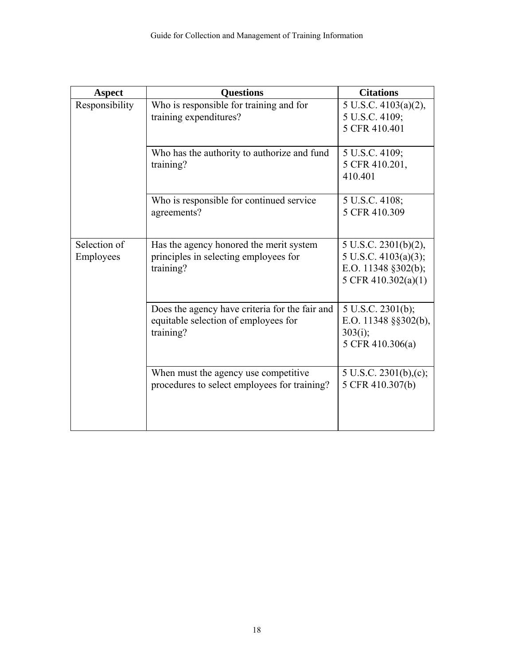| <b>Aspect</b>  | <b>Questions</b>                                                                 | <b>Citations</b>                                        |
|----------------|----------------------------------------------------------------------------------|---------------------------------------------------------|
| Responsibility | Who is responsible for training and for                                          | 5 U.S.C. 4103(a)(2),                                    |
|                | training expenditures?                                                           | 5 U.S.C. 4109;                                          |
|                |                                                                                  | 5 CFR 410.401                                           |
|                |                                                                                  |                                                         |
|                | Who has the authority to authorize and fund                                      | 5 U.S.C. 4109;                                          |
|                | training?                                                                        | 5 CFR 410.201,                                          |
|                |                                                                                  | 410.401                                                 |
|                |                                                                                  |                                                         |
|                | Who is responsible for continued service                                         | 5 U.S.C. 4108;                                          |
|                | agreements?                                                                      | 5 CFR 410.309                                           |
|                |                                                                                  |                                                         |
| Selection of   |                                                                                  |                                                         |
|                | Has the agency honored the merit system<br>principles in selecting employees for | $5 \text{ U.S.C. } 2301(b)(2),$<br>5 U.S.C. 4103(a)(3); |
| Employees      | training?                                                                        | E.O. 11348 §302(b);                                     |
|                |                                                                                  | 5 CFR 410.302(a)(1)                                     |
|                |                                                                                  |                                                         |
|                |                                                                                  |                                                         |
|                | Does the agency have criteria for the fair and                                   | 5 U.S.C. 2301(b);                                       |
|                | equitable selection of employees for                                             | E.O. 11348 §§302(b),                                    |
|                | training?                                                                        | 303(i);                                                 |
|                |                                                                                  | 5 CFR 410.306(a)                                        |
|                |                                                                                  |                                                         |
|                | When must the agency use competitive                                             | 5 U.S.C. 2301(b),(c);                                   |
|                | procedures to select employees for training?                                     | 5 CFR 410.307(b)                                        |
|                |                                                                                  |                                                         |
|                |                                                                                  |                                                         |
|                |                                                                                  |                                                         |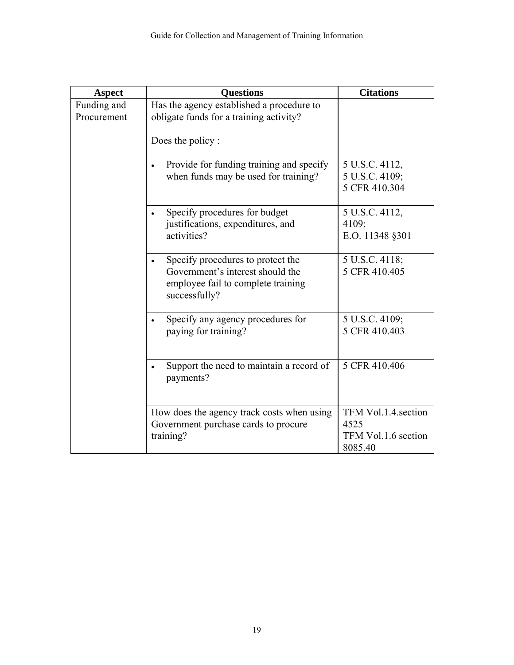| <b>Aspect</b> | <b>Questions</b>                                    | <b>Citations</b>                |
|---------------|-----------------------------------------------------|---------------------------------|
| Funding and   | Has the agency established a procedure to           |                                 |
| Procurement   | obligate funds for a training activity?             |                                 |
|               | Does the policy:                                    |                                 |
|               | Provide for funding training and specify            | 5 U.S.C. 4112,                  |
|               | when funds may be used for training?                | 5 U.S.C. 4109;<br>5 CFR 410.304 |
|               |                                                     |                                 |
|               | Specify procedures for budget                       | 5 U.S.C. 4112,                  |
|               | justifications, expenditures, and                   | 4109;                           |
|               | activities?                                         | E.O. 11348 §301                 |
|               | Specify procedures to protect the                   | 5 U.S.C. 4118;                  |
|               | Government's interest should the                    | 5 CFR 410.405                   |
|               | employee fail to complete training<br>successfully? |                                 |
|               |                                                     |                                 |
|               | Specify any agency procedures for                   | 5 U.S.C. 4109;                  |
|               | paying for training?                                | 5 CFR 410.403                   |
|               |                                                     |                                 |
|               | Support the need to maintain a record of            | 5 CFR 410.406                   |
|               | payments?                                           |                                 |
|               |                                                     |                                 |
|               | How does the agency track costs when using          | TFM Vol.1.4.section             |
|               | Government purchase cards to procure                | 4525                            |
|               | training?                                           | TFM Vol.1.6 section             |
|               |                                                     | 8085.40                         |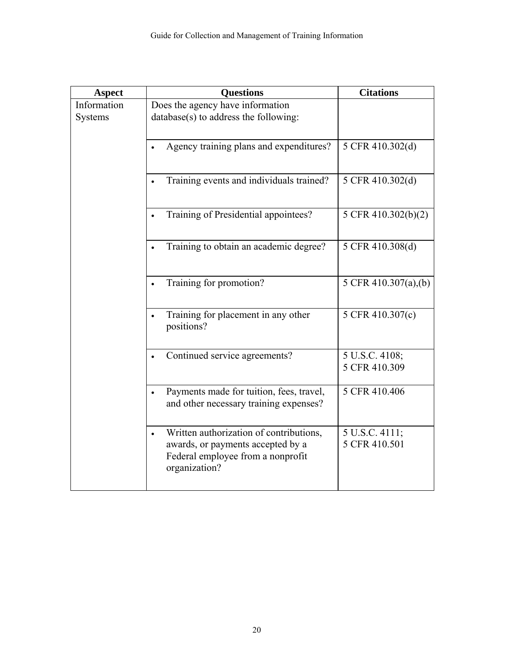| <b>Aspect</b> | <b>Questions</b>                                                                   | <b>Citations</b>     |
|---------------|------------------------------------------------------------------------------------|----------------------|
| Information   | Does the agency have information                                                   |                      |
| Systems       | database(s) to address the following:                                              |                      |
|               |                                                                                    |                      |
|               | Agency training plans and expenditures?                                            | 5 CFR 410.302(d)     |
|               |                                                                                    |                      |
|               | Training events and individuals trained?                                           | 5 CFR 410.302(d)     |
|               |                                                                                    |                      |
|               | Training of Presidential appointees?                                               | 5 CFR 410.302(b)(2)  |
|               |                                                                                    |                      |
|               | Training to obtain an academic degree?                                             | 5 CFR 410.308(d)     |
|               |                                                                                    |                      |
|               | Training for promotion?                                                            | 5 CFR 410.307(a),(b) |
|               |                                                                                    |                      |
|               |                                                                                    |                      |
|               | Training for placement in any other<br>positions?                                  | 5 CFR 410.307(c)     |
|               |                                                                                    |                      |
|               | Continued service agreements?                                                      | 5 U.S.C. 4108;       |
|               |                                                                                    | 5 CFR 410.309        |
|               |                                                                                    |                      |
|               | Payments made for tuition, fees, travel,<br>and other necessary training expenses? | 5 CFR 410.406        |
|               |                                                                                    |                      |
|               | Written authorization of contributions,                                            | 5 U.S.C. 4111;       |
|               | awards, or payments accepted by a                                                  | 5 CFR 410.501        |
|               | Federal employee from a nonprofit                                                  |                      |
|               | organization?                                                                      |                      |
|               |                                                                                    |                      |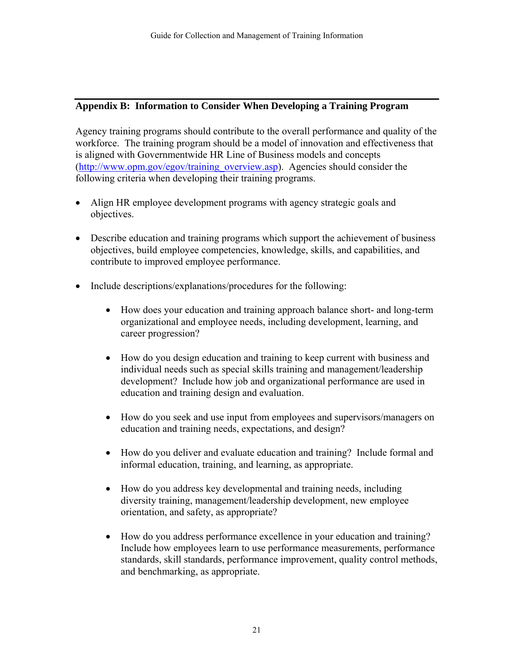#### **Appendix B: Information to Consider When Developing a Training Program**

Agency training programs should contribute to the overall performance and quality of the workforce. The training program should be a model of innovation and effectiveness that is aligned with Governmentwide HR Line of Business models and concepts (http://www.opm.gov/egov/training\_overview.asp). Agencies should consider the following criteria when developing their training programs.

- Align HR employee development programs with agency strategic goals and objectives.
- Describe education and training programs which support the achievement of business objectives, build employee competencies, knowledge, skills, and capabilities, and contribute to improved employee performance.
- Include descriptions/explanations/procedures for the following:
	- How does your education and training approach balance short- and long-term organizational and employee needs, including development, learning, and career progression?
	- How do you design education and training to keep current with business and individual needs such as special skills training and management/leadership development? Include how job and organizational performance are used in education and training design and evaluation.
	- How do you seek and use input from employees and supervisors/managers on education and training needs, expectations, and design?
	- How do you deliver and evaluate education and training? Include formal and informal education, training, and learning, as appropriate.
	- How do you address key developmental and training needs, including diversity training, management/leadership development, new employee orientation, and safety, as appropriate?
	- How do you address performance excellence in your education and training? Include how employees learn to use performance measurements, performance standards, skill standards, performance improvement, quality control methods, and benchmarking, as appropriate.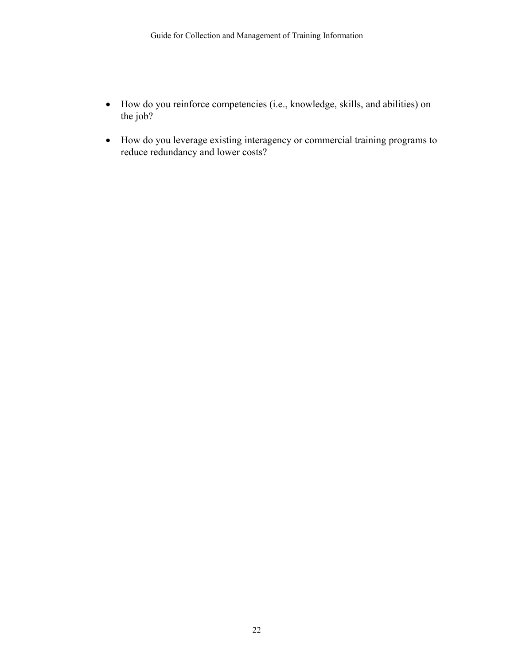- How do you reinforce competencies (i.e., knowledge, skills, and abilities) on the job?
- How do you leverage existing interagency or commercial training programs to reduce redundancy and lower costs?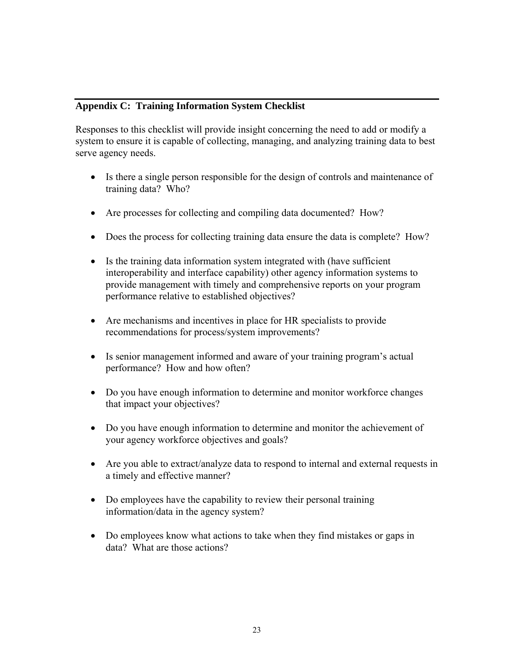#### **Appendix C: Training Information System Checklist**

Responses to this checklist will provide insight concerning the need to add or modify a system to ensure it is capable of collecting, managing, and analyzing training data to best serve agency needs.

- Is there a single person responsible for the design of controls and maintenance of training data? Who?
- Are processes for collecting and compiling data documented? How?
- Does the process for collecting training data ensure the data is complete? How?
- Is the training data information system integrated with (have sufficient interoperability and interface capability) other agency information systems to provide management with timely and comprehensive reports on your program performance relative to established objectives?
- Are mechanisms and incentives in place for HR specialists to provide recommendations for process/system improvements?
- Is senior management informed and aware of your training program's actual performance? How and how often?
- Do you have enough information to determine and monitor workforce changes that impact your objectives?
- Do you have enough information to determine and monitor the achievement of your agency workforce objectives and goals?
- Are you able to extract/analyze data to respond to internal and external requests in a timely and effective manner?
- Do employees have the capability to review their personal training information/data in the agency system?
- Do employees know what actions to take when they find mistakes or gaps in data? What are those actions?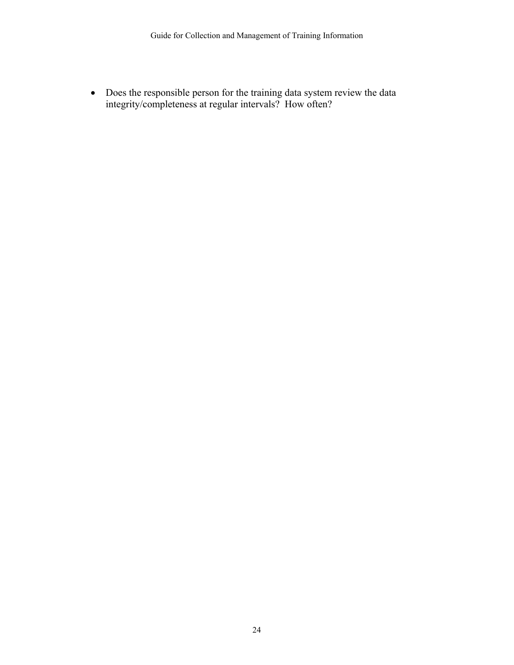• Does the responsible person for the training data system review the data integrity/completeness at regular intervals? How often?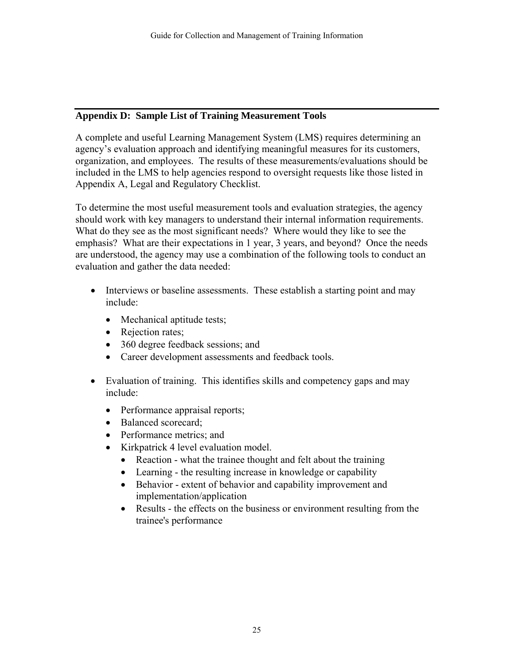#### **Appendix D: Sample List of Training Measurement Tools**

A complete and useful Learning Management System (LMS) requires determining an agency's evaluation approach and identifying meaningful measures for its customers, organization, and employees. The results of these measurements/evaluations should be included in the LMS to help agencies respond to oversight requests like those listed in Appendix A, Legal and Regulatory Checklist.

To determine the most useful measurement tools and evaluation strategies, the agency should work with key managers to understand their internal information requirements. What do they see as the most significant needs? Where would they like to see the emphasis? What are their expectations in 1 year, 3 years, and beyond? Once the needs are understood, the agency may use a combination of the following tools to conduct an evaluation and gather the data needed:

- Interviews or baseline assessments. These establish a starting point and may include:
	- Mechanical aptitude tests;
	- Rejection rates;
	- 360 degree feedback sessions; and
	- Career development assessments and feedback tools.
- Evaluation of training. This identifies skills and competency gaps and may include:
	- Performance appraisal reports;
	- Balanced scorecard;
	- Performance metrics; and
	- Kirkpatrick 4 level evaluation model.
		- Reaction what the trainee thought and felt about the training
		- Learning the resulting increase in knowledge or capability
		- Behavior extent of behavior and capability improvement and implementation/application
		- Results the effects on the business or environment resulting from the trainee's performance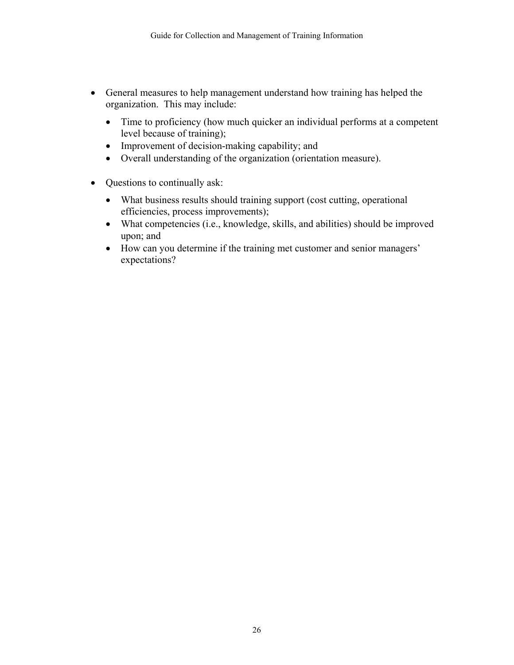- General measures to help management understand how training has helped the organization. This may include:
	- Time to proficiency (how much quicker an individual performs at a competent level because of training);
	- Improvement of decision-making capability; and
	- Overall understanding of the organization (orientation measure).
- Questions to continually ask:
	- What business results should training support (cost cutting, operational efficiencies, process improvements);
	- What competencies (i.e., knowledge, skills, and abilities) should be improved upon; and
	- How can you determine if the training met customer and senior managers' expectations?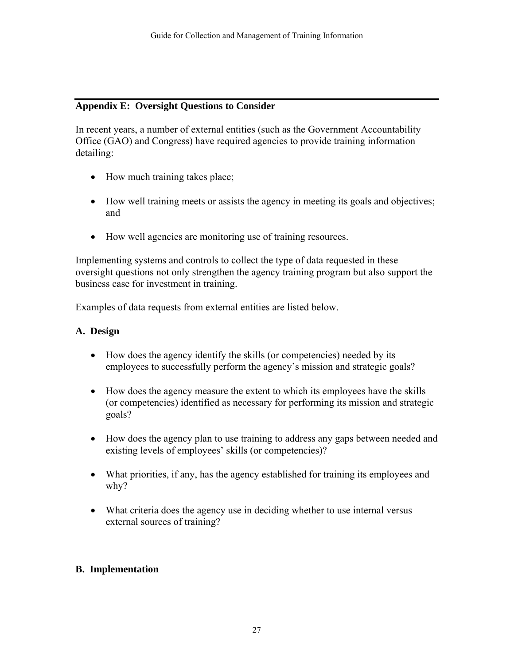#### **Appendix E: Oversight Questions to Consider**

In recent years, a number of external entities (such as the Government Accountability Office (GAO) and Congress) have required agencies to provide training information detailing:

- How much training takes place;
- How well training meets or assists the agency in meeting its goals and objectives; and
- How well agencies are monitoring use of training resources.

Implementing systems and controls to collect the type of data requested in these oversight questions not only strengthen the agency training program but also support the business case for investment in training.

Examples of data requests from external entities are listed below.

#### **A. Design**

- How does the agency identify the skills (or competencies) needed by its employees to successfully perform the agency's mission and strategic goals?
- How does the agency measure the extent to which its employees have the skills (or competencies) identified as necessary for performing its mission and strategic goals?
- How does the agency plan to use training to address any gaps between needed and existing levels of employees' skills (or competencies)?
- What priorities, if any, has the agency established for training its employees and why?
- What criteria does the agency use in deciding whether to use internal versus external sources of training?

#### **B. Implementation**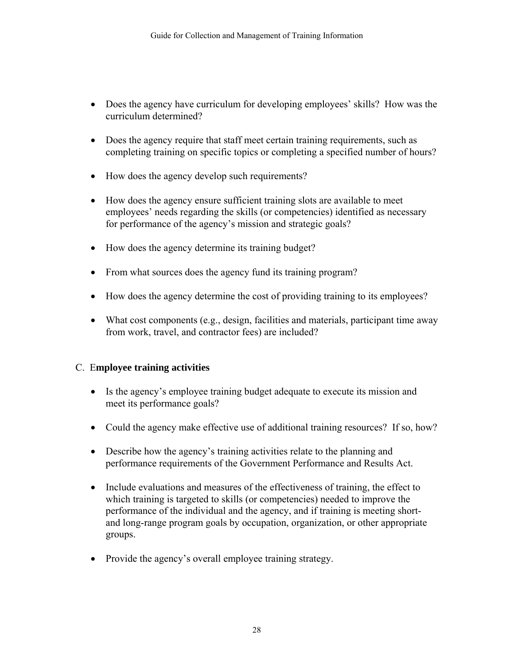- Does the agency have curriculum for developing employees' skills? How was the curriculum determined?
- Does the agency require that staff meet certain training requirements, such as completing training on specific topics or completing a specified number of hours?
- How does the agency develop such requirements?
- How does the agency ensure sufficient training slots are available to meet employees' needs regarding the skills (or competencies) identified as necessary for performance of the agency's mission and strategic goals?
- How does the agency determine its training budget?
- From what sources does the agency fund its training program?
- How does the agency determine the cost of providing training to its employees?
- What cost components (e.g., design, facilities and materials, participant time away from work, travel, and contractor fees) are included?

#### C. E**mployee training activities**

- Is the agency's employee training budget adequate to execute its mission and meet its performance goals?
- Could the agency make effective use of additional training resources? If so, how?
- Describe how the agency's training activities relate to the planning and performance requirements of the Government Performance and Results Act.
- Include evaluations and measures of the effectiveness of training, the effect to which training is targeted to skills (or competencies) needed to improve the performance of the individual and the agency, and if training is meeting shortand long-range program goals by occupation, organization, or other appropriate groups.
- Provide the agency's overall employee training strategy.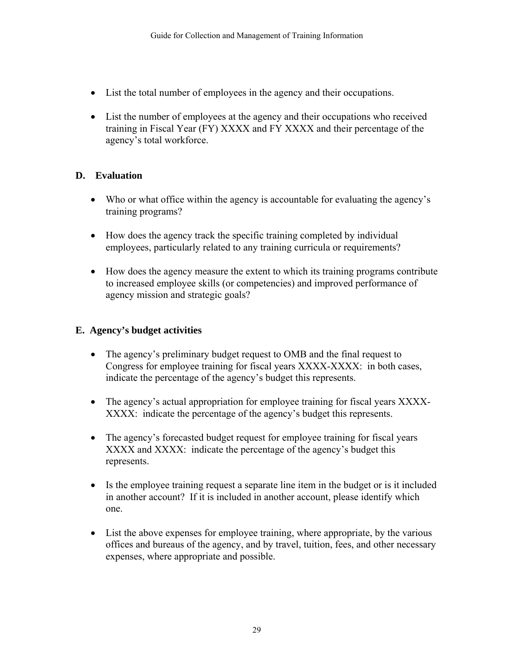- List the total number of employees in the agency and their occupations.
- List the number of employees at the agency and their occupations who received training in Fiscal Year (FY) XXXX and FY XXXX and their percentage of the agency's total workforce.

## **D. Evaluation**

- Who or what office within the agency is accountable for evaluating the agency's training programs?
- How does the agency track the specific training completed by individual employees, particularly related to any training curricula or requirements?
- How does the agency measure the extent to which its training programs contribute to increased employee skills (or competencies) and improved performance of agency mission and strategic goals?

## **E. Agency's budget activities**

- The agency's preliminary budget request to OMB and the final request to Con gress for employee training for fiscal years XXXX-XXXX: in both cases, ind icate the percentage of the agency's budget this represents.
- The agency's actual appropriation for employee training for fiscal years XXXX-XXXX: indicate the percentage of the agency's budget this represents.
- The agency's forecasted budget request for employee training for fiscal years XXXX and XXXX: indicate the percentage of the agency's budget this represents.
- Is the employee training request a separate line item in the budget or is it included in another account? If it is included in another account, please identify which one.
- List the above expenses for employee training, where appropriate, by the various offices and bureaus of the agency, and by travel, tuition, fees, and other necessary exp enses, where appropriate and possible.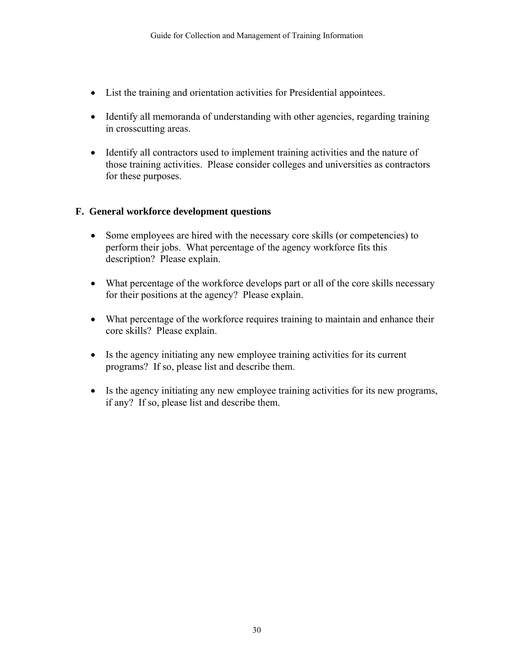- List the training and orientation activities for Presidential appointees.
- Identify all memoranda of understanding with other agencies, regarding training in crosscutting areas.
- Identify all contractors used to implement training activities and the nature of those training activities. Please consider colleges and universities as contractors for these purposes.

#### **F. General workforce development questions**

- Some employees are hired with the necessary core skills (or competencies) to perform their jobs. What percentage of the agency workforce fits this description? Please explain.
- What percentage of the workforce develops part or all of the core skills necessary for their positions at the agency? Please explain.
- What percentage of the workforce requires training to maintain and enhance their core skills? Please explain.
- Is the agency initiating any new employee training activities for its current programs? If so, please list and describe them.
- Is the agency initiating any new employee training activities for its new programs, if any? If so, please list and describe them.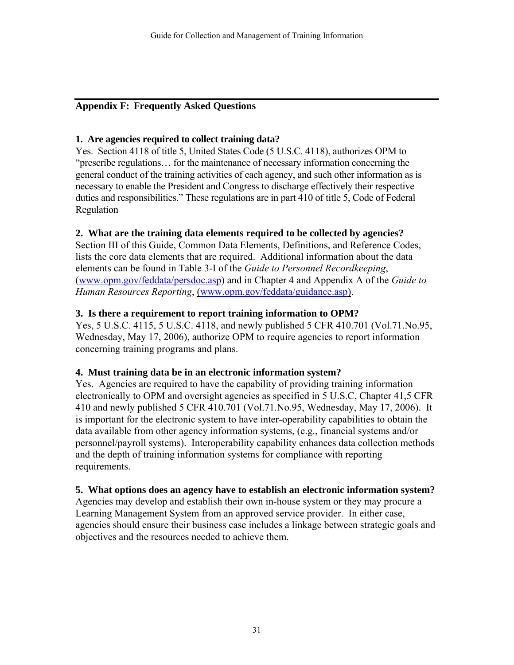#### **Appendix F: Frequently Asked Questions**

#### **1. Are agencies required to collect training data?**

Yes. Section 4118 of title 5, United States Code (5 U.S.C. 4118), authorizes OPM to "prescribe regulations… for the maintenance of necessary information concerning the general conduct of the training activities of each agency, and such other information as is necessary to enable the President and Congress to discharge effectively their respective duties and responsibilities." These regulations are in part 410 of title 5, Code of Federal Regulation

#### **2. What are the training data elements required to be collected by agencies?**

Section III of this Guide, Common Data Elements, Definitions, and Reference Codes, lists the core data elements that are required. Additional information about the data elements can be found in Table 3-I of the *Guide to Personnel Recordkeeping*, (www.opm.gov/feddata/persdoc.asp) and in Chapter 4 and Appendix A of the *Guide to Human Resources Reporting*, (www.opm.gov/feddata/guidance.asp).

#### **3. Is there a requirement to report training information to OPM?**

Yes, 5 U.S.C. 4115, 5 U.S.C. 4118, and newly published 5 CFR 410.701 (Vol.71.No.95, Wednesday, May 17, 2006), authorize OPM to require agencies to report information concerning training programs and plans.

#### **4. Must training data be in an electronic information system?**

Yes. Agencies are required to have the capability of providing training information electronically to OPM and oversight agencies as specified in 5 U.S.C, Chapter 41,5 CFR 410 and newly published 5 CFR 410.701 (Vol.71.No.95, Wednesday, May 17, 2006). It is important for the electronic system to have inter-operability capabilities to obtain the data available from other agency information systems, (e.g., financial systems and/or personnel/payroll systems). Interoperability capability enhances data collection methods and the depth of training information systems for compliance with reporting requirements.

#### **5. What options does an agency have to establish an electronic information system?**

Agencies may develop and establish their own in-house system or they may procure a Learning Management System from an approved service provider. In either case, agencies should ensure their business case includes a linkage between strategic goals and objectives and the resources needed to achieve them.